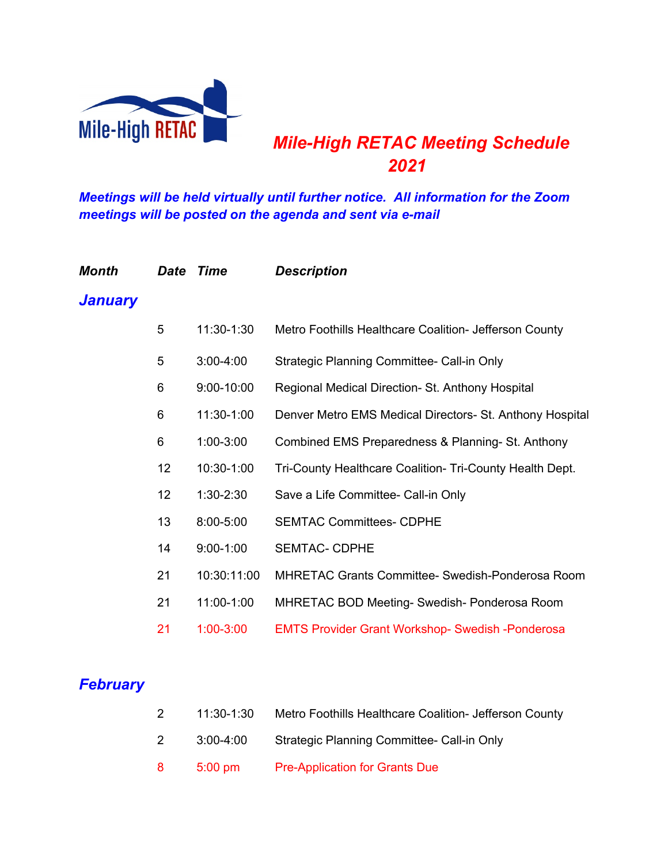

# *Mile-High RETAC Meeting Schedule*

*Meetings will be held virtually until further notice. All information for the Zoom meetings will be posted on the agenda and sent via e-mail*

| Month   |    | Date Time     | <b>Description</b>                                       |
|---------|----|---------------|----------------------------------------------------------|
| January |    |               |                                                          |
|         | 5  | 11:30-1:30    | Metro Foothills Healthcare Coalition- Jefferson County   |
|         | 5  | $3:00 - 4:00$ | Strategic Planning Committee- Call-in Only               |
|         | 6  | 9:00-10:00    | Regional Medical Direction- St. Anthony Hospital         |
|         | 6  | 11:30-1:00    | Denver Metro EMS Medical Directors- St. Anthony Hospital |
|         | 6  | $1:00 - 3:00$ | Combined EMS Preparedness & Planning- St. Anthony        |
|         | 12 | 10:30-1:00    | Tri-County Healthcare Coalition- Tri-County Health Dept. |
|         | 12 | $1:30-2:30$   | Save a Life Committee- Call-in Only                      |
|         | 13 | 8:00-5:00     | <b>SEMTAC Committees- CDPHE</b>                          |
|         | 14 | $9:00 - 1:00$ | <b>SEMTAC- CDPHE</b>                                     |
|         | 21 | 10:30:11:00   | <b>MHRETAC Grants Committee- Swedish-Ponderosa Room</b>  |
|         | 21 | 11:00-1:00    | MHRETAC BOD Meeting- Swedish- Ponderosa Room             |
|         | 21 | $1:00 - 3:00$ | <b>EMTS Provider Grant Workshop- Swedish -Ponderosa</b>  |
|         |    |               |                                                          |

# *February*

| Metro Foothills Healthcare Coalition- Jefferson County<br>11:30-1:30 |  |
|----------------------------------------------------------------------|--|
|----------------------------------------------------------------------|--|

- 3:00-4:00 Strategic Planning Committee- Call-in Only
- 5:00 pm Pre-Application for Grants Due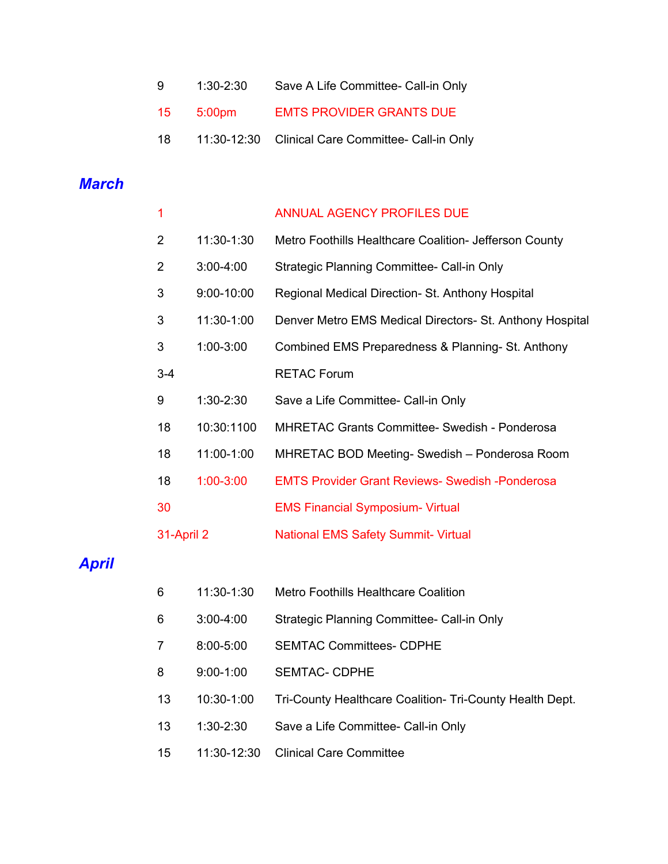- 1:30-2:30 Save A Life Committee- Call-in Only
- 5:00pm EMTS PROVIDER GRANTS DUE
- 11:30-12:30 Clinical Care Committee- Call-in Only

### *March*

| 1              |               | <b>ANNUAL AGENCY PROFILES DUE</b>                        |
|----------------|---------------|----------------------------------------------------------|
| $\overline{2}$ | 11:30-1:30    | Metro Foothills Healthcare Coalition- Jefferson County   |
| 2              | $3:00 - 4:00$ | Strategic Planning Committee- Call-in Only               |
| 3              | 9:00-10:00    | Regional Medical Direction- St. Anthony Hospital         |
| 3              | 11:30-1:00    | Denver Metro EMS Medical Directors- St. Anthony Hospital |
| 3              | 1:00-3:00     | Combined EMS Preparedness & Planning- St. Anthony        |
| $3 - 4$        |               | <b>RETAC Forum</b>                                       |
| 9              | $1:30-2:30$   | Save a Life Committee- Call-in Only                      |
| 18             | 10:30:1100    | <b>MHRETAC Grants Committee- Swedish - Ponderosa</b>     |
| 18             | 11:00-1:00    | MHRETAC BOD Meeting- Swedish - Ponderosa Room            |
| 18             | $1:00 - 3:00$ | <b>EMTS Provider Grant Reviews- Swedish -Ponderosa</b>   |
| 30             |               | <b>EMS Financial Symposium- Virtual</b>                  |
| 31-April 2     |               | <b>National EMS Safety Summit- Virtual</b>               |
|                |               |                                                          |

# *April*

- 11:30-1:30 Metro Foothills Healthcare Coalition
- 3:00-4:00 Strategic Planning Committee- Call-in Only
- 8:00-5:00 SEMTAC Committees- CDPHE
- 9:00-1:00 SEMTAC- CDPHE
- 10:30-1:00 Tri-County Healthcare Coalition- Tri-County Health Dept.
- 1:30-2:30 Save a Life Committee- Call-in Only
- 11:30-12:30 Clinical Care Committee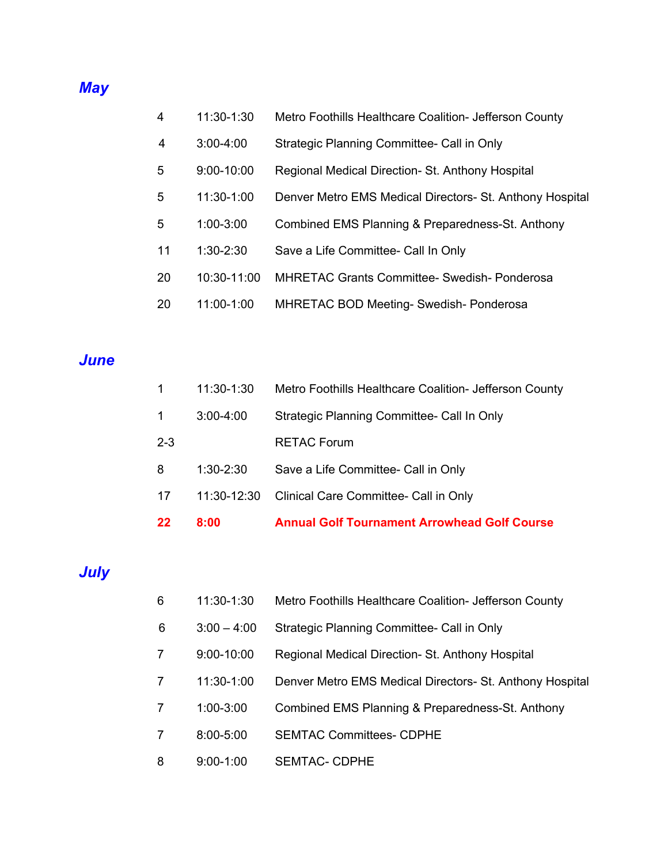#### *May*

- 11:30-1:30 Metro Foothills Healthcare Coalition- Jefferson County
- 3:00-4:00 Strategic Planning Committee- Call in Only
- 9:00-10:00 Regional Medical Direction- St. Anthony Hospital
- 11:30-1:00 Denver Metro EMS Medical Directors- St. Anthony Hospital
- 1:00-3:00 Combined EMS Planning & Preparedness-St. Anthony
- 1:30-2:30 Save a Life Committee- Call In Only
- 10:30-11:00 MHRETAC Grants Committee- Swedish- Ponderosa
- 11:00-1:00 MHRETAC BOD Meeting- Swedish- Ponderosa

#### *June*

| 22      | 8:00          | <b>Annual Golf Tournament Arrowhead Golf Course</b>    |
|---------|---------------|--------------------------------------------------------|
| 17      | 11:30-12:30   | Clinical Care Committee- Call in Only                  |
| 8       | $1:30-2:30$   | Save a Life Committee- Call in Only                    |
| $2 - 3$ |               | <b>RETAC Forum</b>                                     |
| 1       | $3:00 - 4:00$ | Strategic Planning Committee- Call In Only             |
|         | 11:30-1:30    | Metro Foothills Healthcare Coalition- Jefferson County |

# *July*

- 11:30-1:30 Metro Foothills Healthcare Coalition- Jefferson County
- 3:00 4:00 Strategic Planning Committee- Call in Only
- 9:00-10:00 Regional Medical Direction- St. Anthony Hospital
- 11:30-1:00 Denver Metro EMS Medical Directors- St. Anthony Hospital
- 1:00-3:00 Combined EMS Planning & Preparedness-St. Anthony
- 8:00-5:00 SEMTAC Committees- CDPHE
- 9:00-1:00 SEMTAC- CDPHE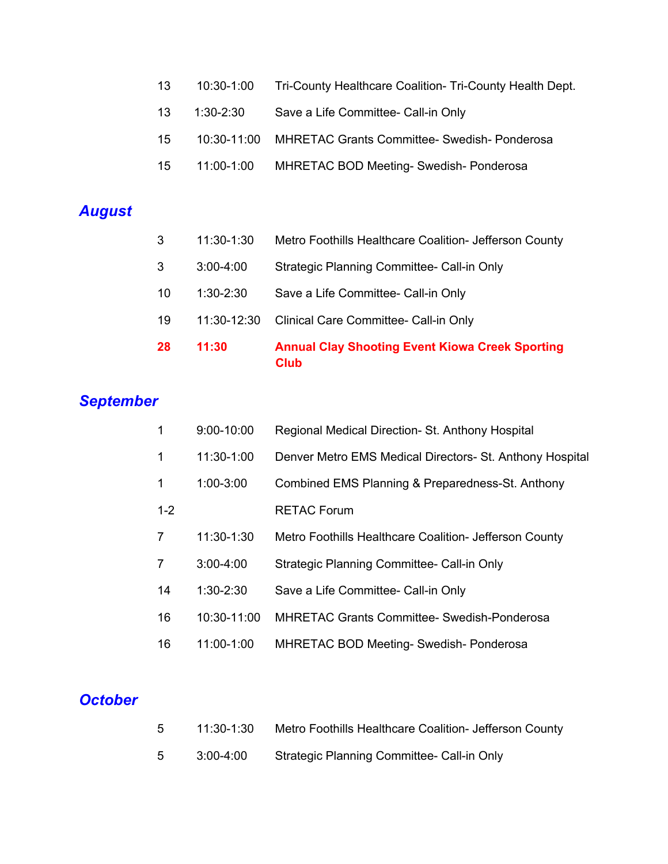- 10:30-1:00 Tri-County Healthcare Coalition- Tri-County Health Dept.
- 13 1:30-2:30 Save a Life Committee- Call-in Only
- 10:30-11:00 MHRETAC Grants Committee- Swedish- Ponderosa
- 11:00-1:00 MHRETAC BOD Meeting- Swedish- Ponderosa

# *August*

- 11:30-1:30 Metro Foothills Healthcare Coalition- Jefferson County
- 3:00-4:00 Strategic Planning Committee- Call-in Only
- 1:30-2:30 Save a Life Committee- Call-in Only
- 11:30-12:30 Clinical Care Committee- Call-in Only
- **11:30 Annual Clay Shooting Event Kiowa Creek Sporting Club**

## *September*

| 1       | $9:00 - 10:00$ | Regional Medical Direction- St. Anthony Hospital         |
|---------|----------------|----------------------------------------------------------|
| 1       | 11:30-1:00     | Denver Metro EMS Medical Directors- St. Anthony Hospital |
| 1       | 1:00-3:00      | Combined EMS Planning & Preparedness-St. Anthony         |
| $1 - 2$ |                | <b>RETAC Forum</b>                                       |
| 7       | 11:30-1:30     | Metro Foothills Healthcare Coalition- Jefferson County   |
| 7       | $3:00 - 4:00$  | Strategic Planning Committee- Call-in Only               |
| 14      | $1:30-2:30$    | Save a Life Committee- Call-in Only                      |
| 16      | 10:30-11:00    | <b>MHRETAC Grants Committee- Swedish-Ponderosa</b>       |
| 16      | 11:00-1:00     | <b>MHRETAC BOD Meeting- Swedish- Ponderosa</b>           |

# *October*

| 5 | 11:30-1:30 | Metro Foothills Healthcare Coalition- Jefferson County |
|---|------------|--------------------------------------------------------|
| 5 | 3:00-4:00  | Strategic Planning Committee- Call-in Only             |